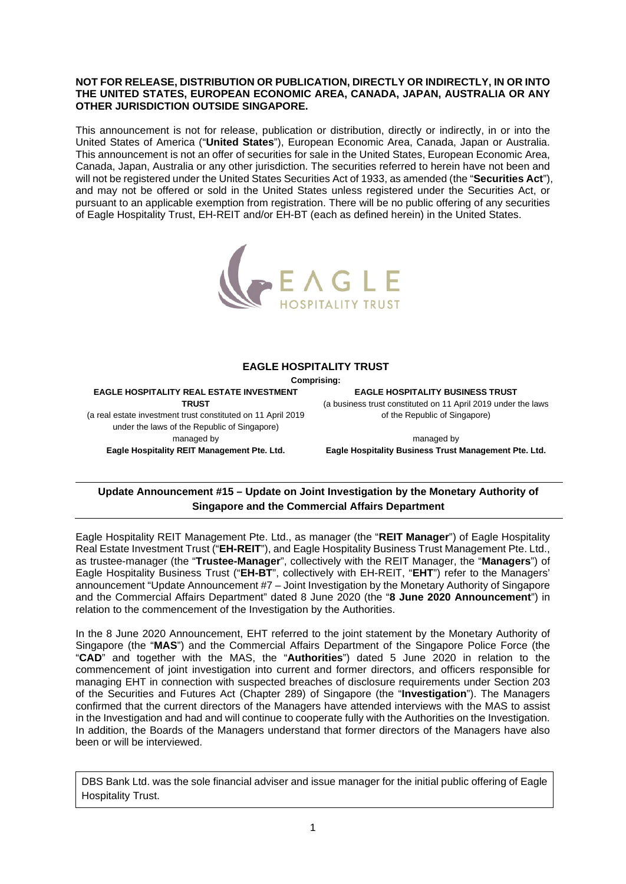## **NOT FOR RELEASE, DISTRIBUTION OR PUBLICATION, DIRECTLY OR INDIRECTLY, IN OR INTO THE UNITED STATES, EUROPEAN ECONOMIC AREA, CANADA, JAPAN, AUSTRALIA OR ANY OTHER JURISDICTION OUTSIDE SINGAPORE.**

This announcement is not for release, publication or distribution, directly or indirectly, in or into the United States of America ("**United States**"), European Economic Area, Canada, Japan or Australia. This announcement is not an offer of securities for sale in the United States, European Economic Area, Canada, Japan, Australia or any other jurisdiction. The securities referred to herein have not been and will not be registered under the United States Securities Act of 1933, as amended (the "**Securities Act**"), and may not be offered or sold in the United States unless registered under the Securities Act, or pursuant to an applicable exemption from registration. There will be no public offering of any securities of Eagle Hospitality Trust, EH-REIT and/or EH-BT (each as defined herein) in the United States.



## **EAGLE HOSPITALITY TRUST**

**Comprising:** 

**EAGLE HOSPITALITY REAL ESTATE INVESTMENT TRUST** 

(a real estate investment trust constituted on 11 April 2019 under the laws of the Republic of Singapore) managed by **Eagle Hospitality REIT Management Pte. Ltd.** 

**EAGLE HOSPITALITY BUSINESS TRUST**  (a business trust constituted on 11 April 2019 under the laws of the Republic of Singapore)

managed by **Eagle Hospitality Business Trust Management Pte. Ltd.** 

## **Update Announcement #15 – Update on Joint Investigation by the Monetary Authority of Singapore and the Commercial Affairs Department**

Eagle Hospitality REIT Management Pte. Ltd., as manager (the "**REIT Manager**") of Eagle Hospitality Real Estate Investment Trust ("**EH-REIT**"), and Eagle Hospitality Business Trust Management Pte. Ltd., as trustee-manager (the "**Trustee-Manager**", collectively with the REIT Manager, the "**Managers**") of Eagle Hospitality Business Trust ("**EH-BT**", collectively with EH-REIT, "**EHT**") refer to the Managers' announcement "Update Announcement #7 – Joint Investigation by the Monetary Authority of Singapore and the Commercial Affairs Department" dated 8 June 2020 (the "**8 June 2020 Announcement**") in relation to the commencement of the Investigation by the Authorities.

In the 8 June 2020 Announcement, EHT referred to the joint statement by the Monetary Authority of Singapore (the "**MAS**") and the Commercial Affairs Department of the Singapore Police Force (the "**CAD**" and together with the MAS, the "**Authorities**") dated 5 June 2020 in relation to the commencement of joint investigation into current and former directors, and officers responsible for managing EHT in connection with suspected breaches of disclosure requirements under Section 203 of the Securities and Futures Act (Chapter 289) of Singapore (the "**Investigation**"). The Managers confirmed that the current directors of the Managers have attended interviews with the MAS to assist in the Investigation and had and will continue to cooperate fully with the Authorities on the Investigation. In addition, the Boards of the Managers understand that former directors of the Managers have also been or will be interviewed.

DBS Bank Ltd. was the sole financial adviser and issue manager for the initial public offering of Eagle Hospitality Trust.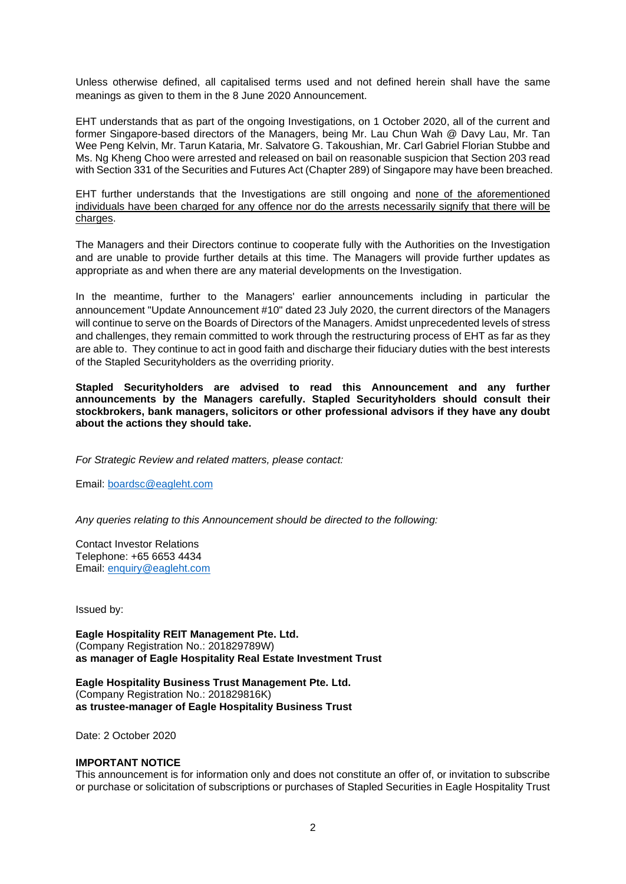Unless otherwise defined, all capitalised terms used and not defined herein shall have the same meanings as given to them in the 8 June 2020 Announcement.

EHT understands that as part of the ongoing Investigations, on 1 October 2020, all of the current and former Singapore-based directors of the Managers, being Mr. Lau Chun Wah @ Davy Lau, Mr. Tan Wee Peng Kelvin, Mr. Tarun Kataria, Mr. Salvatore G. Takoushian, Mr. Carl Gabriel Florian Stubbe and Ms. Ng Kheng Choo were arrested and released on bail on reasonable suspicion that Section 203 read with Section 331 of the Securities and Futures Act (Chapter 289) of Singapore may have been breached.

EHT further understands that the Investigations are still ongoing and none of the aforementioned individuals have been charged for any offence nor do the arrests necessarily signify that there will be charges.

The Managers and their Directors continue to cooperate fully with the Authorities on the Investigation and are unable to provide further details at this time. The Managers will provide further updates as appropriate as and when there are any material developments on the Investigation.

In the meantime, further to the Managers' earlier announcements including in particular the announcement "Update Announcement #10" dated 23 July 2020, the current directors of the Managers will continue to serve on the Boards of Directors of the Managers. Amidst unprecedented levels of stress and challenges, they remain committed to work through the restructuring process of EHT as far as they are able to. They continue to act in good faith and discharge their fiduciary duties with the best interests of the Stapled Securityholders as the overriding priority.

**Stapled Securityholders are advised to read this Announcement and any further announcements by the Managers carefully. Stapled Securityholders should consult their stockbrokers, bank managers, solicitors or other professional advisors if they have any doubt about the actions they should take.** 

*For Strategic Review and related matters, please contact:* 

Email: [boardsc@eagleht.com](mailto:boardsc@eagleht.com) 

*Any queries relating to this Announcement should be directed to the following:* 

Contact Investor Relations Telephone: +65 6653 4434 Email: [enquiry@eagleht.com](mailto:enquiry@eagleht.com) 

Issued by:

**Eagle Hospitality REIT Management Pte. Ltd.**  (Company Registration No.: 201829789W) **as manager of Eagle Hospitality Real Estate Investment Trust** 

**Eagle Hospitality Business Trust Management Pte. Ltd.**  (Company Registration No.: 201829816K) **as trustee-manager of Eagle Hospitality Business Trust** 

Date: 2 October 2020

## **IMPORTANT NOTICE**

This announcement is for information only and does not constitute an offer of, or invitation to subscribe or purchase or solicitation of subscriptions or purchases of Stapled Securities in Eagle Hospitality Trust